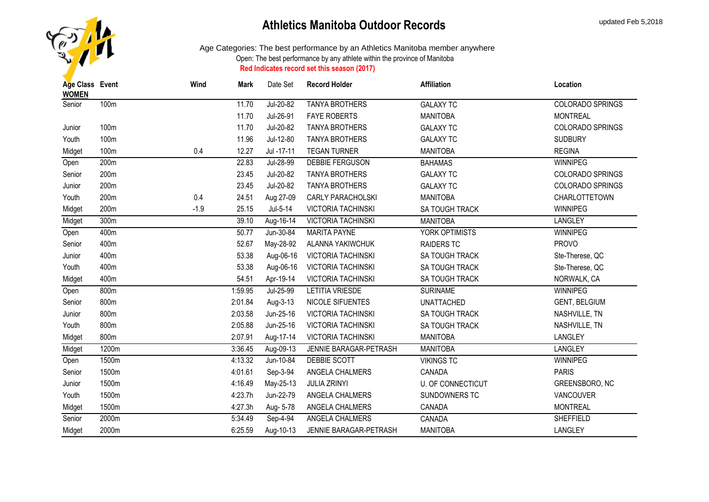

| Age Class Event<br><b>WOMEN</b> |       | Wind   | Mark    | Date Set   | <b>Record Holder</b>      | <b>Affiliation</b>       | Location                |
|---------------------------------|-------|--------|---------|------------|---------------------------|--------------------------|-------------------------|
| Senior                          | 100m  |        | 11.70   | Jul-20-82  | <b>TANYA BROTHERS</b>     | <b>GALAXY TC</b>         | <b>COLORADO SPRINGS</b> |
|                                 |       |        | 11.70   | Jul-26-91  | <b>FAYE ROBERTS</b>       | <b>MANITOBA</b>          | <b>MONTREAL</b>         |
| Junior                          | 100m  |        | 11.70   | Jul-20-82  | <b>TANYA BROTHERS</b>     | <b>GALAXY TC</b>         | <b>COLORADO SPRINGS</b> |
| Youth                           | 100m  |        | 11.96   | Jul-12-80  | <b>TANYA BROTHERS</b>     | <b>GALAXY TC</b>         | <b>SUDBURY</b>          |
| Midget                          | 100m  | 0.4    | 12.27   | Jul -17-11 | <b>TEGAN TURNER</b>       | <b>MANITOBA</b>          | <b>REGINA</b>           |
| Open                            | 200m  |        | 22.83   | Jul-28-99  | DEBBIE FERGUSON           | <b>BAHAMAS</b>           | WINNIPEG                |
| Senior                          | 200m  |        | 23.45   | Jul-20-82  | <b>TANYA BROTHERS</b>     | <b>GALAXY TC</b>         | COLORADO SPRINGS        |
| Junior                          | 200m  |        | 23.45   | Jul-20-82  | <b>TANYA BROTHERS</b>     | <b>GALAXY TC</b>         | COLORADO SPRINGS        |
| Youth                           | 200m  | 0.4    | 24.51   | Aug 27-09  | <b>CARLY PARACHOLSKI</b>  | <b>MANITOBA</b>          | CHARLOTTETOWN           |
| Midget                          | 200m  | $-1.9$ | 25.15   | Jul-5-14   | <b>VICTORIA TACHINSKI</b> | SA TOUGH TRACK           | <b>WINNIPEG</b>         |
| Midget                          | 300m  |        | 39.10   | Aug-16-14  | <b>VICTORIA TACHINSKI</b> | <b>MANITOBA</b>          | <b>LANGLEY</b>          |
| Open                            | 400m  |        | 50.77   | Jun-30-84  | MARITA PAYNE              | YORK OPTIMISTS           | WINNIPEG                |
| Senior                          | 400m  |        | 52.67   | May-28-92  | ALANNA YAKIWCHUK          | <b>RAIDERS TC</b>        | <b>PROVO</b>            |
| Junior                          | 400m  |        | 53.38   | Aug-06-16  | <b>VICTORIA TACHINSKI</b> | SA TOUGH TRACK           | Ste-Therese, QC         |
| Youth                           | 400m  |        | 53.38   | Aug-06-16  | <b>VICTORIA TACHINSKI</b> | SA TOUGH TRACK           | Ste-Therese, QC         |
| Midget                          | 400m  |        | 54.51   | Apr-19-14  | <b>VICTORIA TACHINSKI</b> | <b>SA TOUGH TRACK</b>    | NORWALK, CA             |
| Open                            | 800m  |        | 1:59.95 | Jul-25-99  | LETITIA VRIESDE           | <b>SURINAME</b>          | WINNIPEG                |
| Senior                          | 800m  |        | 2:01.84 | Aug-3-13   | NICOLE SIFUENTES          | <b>UNATTACHED</b>        | <b>GENT, BELGIUM</b>    |
| Junior                          | 800m  |        | 2:03.58 | Jun-25-16  | <b>VICTORIA TACHINSKI</b> | SA TOUGH TRACK           | NASHVILLE, TN           |
| Youth                           | 800m  |        | 2:05.88 | Jun-25-16  | <b>VICTORIA TACHINSKI</b> | SA TOUGH TRACK           | NASHVILLE, TN           |
| Midget                          | 800m  |        | 2:07.91 | Aug-17-14  | <b>VICTORIA TACHINSKI</b> | <b>MANITOBA</b>          | LANGLEY                 |
| Midget                          | 1200m |        | 3:36.45 | Aug-09-13  | JENNIE BARAGAR-PETRASH    | <b>MANITOBA</b>          | <b>LANGLEY</b>          |
| Open                            | 1500m |        | 4:13.32 | Jun-10-84  | DEBBIE SCOTT              | <b>VIKINGS TC</b>        | WINNIPEG                |
| Senior                          | 1500m |        | 4:01.61 | Sep-3-94   | ANGELA CHALMERS           | CANADA                   | <b>PARIS</b>            |
| Junior                          | 1500m |        | 4:16.49 | May-25-13  | <b>JULIA ZRINYI</b>       | <b>U. OF CONNECTICUT</b> | GREENSBORO, NC          |
| Youth                           | 1500m |        | 4:23.7h | Jun-22-79  | ANGELA CHALMERS           | SUNDOWNERS TC            | VANCOUVER               |
| Midget                          | 1500m |        | 4:27.3h | Aug- 5-78  | ANGELA CHALMERS           | CANADA                   | <b>MONTREAL</b>         |
| Senior                          | 2000m |        | 5:34.49 | Sep-4-94   | ANGELA CHALMERS           | CANADA                   | SHEFFIELD               |
| Midget                          | 2000m |        | 6:25.59 | Aug-10-13  | JENNIE BARAGAR-PETRASH    | <b>MANITOBA</b>          | <b>LANGLEY</b>          |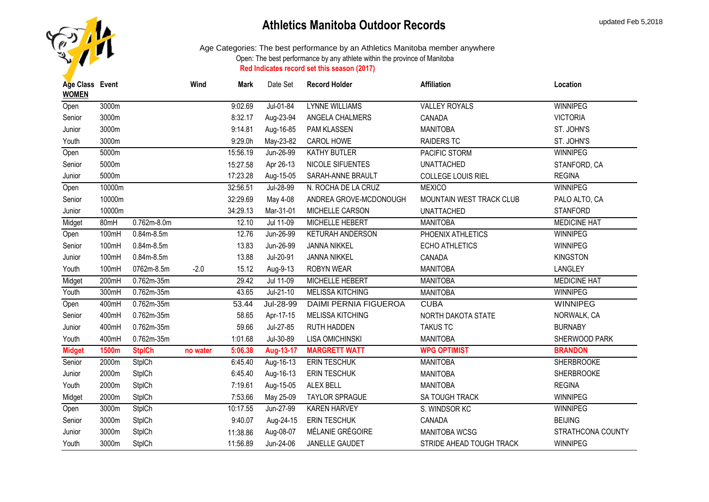

| Age Class Event<br><b>WOMEN</b> |        |                 | Wind     | <b>Mark</b> | Date Set  | <b>Record Holder</b>         | <b>Affiliation</b>       | Location            |
|---------------------------------|--------|-----------------|----------|-------------|-----------|------------------------------|--------------------------|---------------------|
| Open                            | 3000m  |                 |          | 9:02.69     | Jul-01-84 | <b>LYNNE WILLIAMS</b>        | <b>VALLEY ROYALS</b>     | <b>WINNIPEG</b>     |
| Senior                          | 3000m  |                 |          | 8:32.17     | Aug-23-94 | ANGELA CHALMERS              | CANADA                   | <b>VICTORIA</b>     |
| Junior                          | 3000m  |                 |          | 9:14.81     | Aug-16-85 | PAM KLASSEN                  | <b>MANITOBA</b>          | ST. JOHN'S          |
| Youth                           | 3000m  |                 |          | 9:29.0h     | May-23-82 | CAROL HOWE                   | <b>RAIDERS TC</b>        | ST. JOHN'S          |
| Open                            | 5000m  |                 |          | 15:56.19    | Jun-26-99 | <b>KATHY BUTLER</b>          | PACIFIC STORM            | <b>WINNIPEG</b>     |
| Senior                          | 5000m  |                 |          | 15:27.58    | Apr 26-13 | NICOLE SIFUENTES             | <b>UNATTACHED</b>        | STANFORD, CA        |
| Junior                          | 5000m  |                 |          | 17:23.28    | Aug-15-05 | SARAH-ANNE BRAULT            | COLLEGE LOUIS RIEL       | <b>REGINA</b>       |
| Open                            | 10000m |                 |          | 32:56.51    | Jul-28-99 | N. ROCHA DE LA CRUZ          | <b>MEXICO</b>            | WINNIPEG            |
| Senior                          | 10000m |                 |          | 32:29.69    | May 4-08  | ANDREA GROVE-MCDONOUGH       | MOUNTAIN WEST TRACK CLUB | PALO ALTO, CA       |
| Junior                          | 10000m |                 |          | 34:29.13    | Mar-31-01 | MICHELLE CARSON              | <b>UNATTACHED</b>        | <b>STANFORD</b>     |
| Midget                          | 80mH   | $0.762m - 8.0m$ |          | 12.10       | Jul 11-09 | MICHELLE HEBERT              | <b>MANITOBA</b>          | <b>MEDICINE HAT</b> |
| Open                            | 100mH  | $0.84m - 8.5m$  |          | 12.76       | Jun-26-99 | KETURAH ANDERSON             | PHOENIX ATHLETICS        | WINNIPEG            |
| Senior                          | 100mH  | $0.84m-8.5m$    |          | 13.83       | Jun-26-99 | <b>JANNA NIKKEL</b>          | <b>ECHO ATHLETICS</b>    | WINNIPEG            |
| Junior                          | 100mH  | $0.84m-8.5m$    |          | 13.88       | Jul-20-91 | <b>JANNA NIKKEL</b>          | CANADA                   | <b>KINGSTON</b>     |
| Youth                           | 100mH  | 0762m-8.5m      | $-2.0$   | 15.12       | Aug-9-13  | ROBYN WEAR                   | <b>MANITOBA</b>          | LANGLEY             |
| Midget                          | 200mH  | 0.762m-35m      |          | 29.42       | Jul 11-09 | MICHELLE HEBERT              | <b>MANITOBA</b>          | <b>MEDICINE HAT</b> |
| Youth                           | 300mH  | $0.762m - 35m$  |          | 43.65       | Jul-21-10 | <b>MELISSA KITCHING</b>      | <b>MANITOBA</b>          | <b>WINNIPEG</b>     |
| Open                            | 400mH  | 0.762m-35m      |          | 53.44       | Jul-28-99 | <b>DAIMI PERNIA FIGUEROA</b> | <b>CUBA</b>              | <b>WINNIPEG</b>     |
| Senior                          | 400mH  | 0.762m-35m      |          | 58.65       | Apr-17-15 | <b>MELISSA KITCHING</b>      | NORTH DAKOTA STATE       | NORWALK, CA         |
| Junior                          | 400mH  | 0.762m-35m      |          | 59.66       | Jul-27-85 | RUTH HADDEN                  | <b>TAKUS TC</b>          | <b>BURNABY</b>      |
| Youth                           | 400mH  | 0.762m-35m      |          | 1:01.68     | Jul-30-89 | <b>LISA OMICHINSKI</b>       | <b>MANITOBA</b>          | SHERWOOD PARK       |
| <b>Midget</b>                   | 1500m  | <b>StpICh</b>   | no water | 5:06.38     | Aug-13-17 | <b>MARGRETT WATT</b>         | <b>WPG OPTIMIST</b>      | <b>BRANDON</b>      |
| Senior                          | 2000m  | <b>StpICh</b>   |          | 6:45.40     | Aug-16-13 | ERIN TESCHUK                 | <b>MANITOBA</b>          | <b>SHERBROOKE</b>   |
| Junior                          | 2000m  | <b>StpICh</b>   |          | 6:45.40     | Aug-16-13 | <b>ERIN TESCHUK</b>          | <b>MANITOBA</b>          | <b>SHERBROOKE</b>   |
| Youth                           | 2000m  | <b>StpICh</b>   |          | 7:19.61     | Aug-15-05 | ALEX BELL                    | <b>MANITOBA</b>          | <b>REGINA</b>       |
| Midget                          | 2000m  | <b>StpICh</b>   |          | 7:53.66     | May 25-09 | <b>TAYLOR SPRAGUE</b>        | <b>SA TOUGH TRACK</b>    | WINNIPEG            |
| Open                            | 3000m  | <b>StpICh</b>   |          | 10:17.55    | Jun-27-99 | <b>KAREN HARVEY</b>          | S. WINDSOR KC            | WINNIPEG            |
| Senior                          | 3000m  | <b>StpICh</b>   |          | 9:40.07     | Aug-24-15 | <b>ERIN TESCHUK</b>          | CANADA                   | <b>BEIJING</b>      |
| Junior                          | 3000m  | <b>StpICh</b>   |          | 11:38.86    | Aug-08-07 | MÉLANIE GRÉGOIRE             | MANITOBA WCSG            | STRATHCONA COUNTY   |
| Youth                           | 3000m  | <b>StpICh</b>   |          | 11:56.89    | Jun-24-06 | JANELLE GAUDET               | STRIDE AHEAD TOUGH TRACK | <b>WINNIPEG</b>     |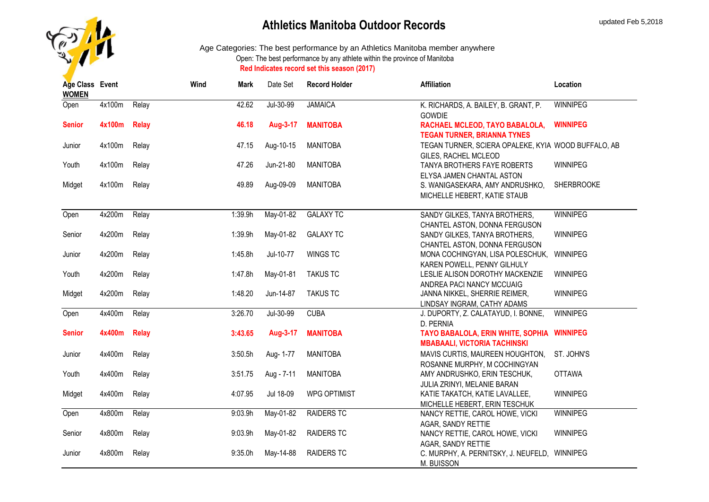

| Age Class Event<br><b>WOMEN</b> |        |              | Wind | Mark    | Date Set   | <b>Record Holder</b> | <b>Affiliation</b>                                                                                                | Location          |
|---------------------------------|--------|--------------|------|---------|------------|----------------------|-------------------------------------------------------------------------------------------------------------------|-------------------|
| Open                            | 4x100m | Relay        |      | 42.62   | Jul-30-99  | <b>JAMAICA</b>       | K. RICHARDS, A. BAILEY, B. GRANT, P.<br><b>GOWDIE</b>                                                             | <b>WINNIPEG</b>   |
| <b>Senior</b>                   | 4x100m | <b>Relay</b> |      | 46.18   | Aug-3-17   | <b>MANITOBA</b>      | RACHAEL MCLEOD, TAYO BABALOLA,                                                                                    | <b>WINNIPEG</b>   |
| Junior                          | 4x100m | Relay        |      | 47.15   | Aug-10-15  | <b>MANITOBA</b>      | <b>TEGAN TURNER, BRIANNA TYNES</b><br>TEGAN TURNER, SCIERA OPALEKE, KYIA WOOD BUFFALO, AB<br>GILES, RACHEL MCLEOD |                   |
| Youth                           | 4x100m | Relay        |      | 47.26   | Jun-21-80  | <b>MANITOBA</b>      | TANYA BROTHERS FAYE ROBERTS<br>ELYSA JAMEN CHANTAL ASTON                                                          | WINNIPEG          |
| Midget                          | 4x100m | Relay        |      | 49.89   | Aug-09-09  | <b>MANITOBA</b>      | S. WANIGASEKARA, AMY ANDRUSHKO,<br>MICHELLE HEBERT, KATIE STAUB                                                   | <b>SHERBROOKE</b> |
| Open                            | 4x200m | Relay        |      | 1:39.9h | May-01-82  | <b>GALAXY TC</b>     | SANDY GILKES, TANYA BROTHERS,<br>CHANTEL ASTON, DONNA FERGUSON                                                    | <b>WINNIPEG</b>   |
| Senior                          | 4x200m | Relay        |      | 1:39.9h | May-01-82  | <b>GALAXY TC</b>     | SANDY GILKES, TANYA BROTHERS,<br>CHANTEL ASTON, DONNA FERGUSON                                                    | WINNIPEG          |
| Junior                          | 4x200m | Relay        |      | 1:45.8h | Jul-10-77  | <b>WINGS TC</b>      | MONA COCHINGYAN, LISA POLESCHUK,<br>KAREN POWELL, PENNY GILHULY                                                   | WINNIPEG          |
| Youth                           | 4x200m | Relay        |      | 1:47.8h | May-01-81  | <b>TAKUS TC</b>      | LESLIE ALISON DOROTHY MACKENZIE<br>ANDREA PACI NANCY MCCUAIG                                                      | WINNIPEG          |
| Midget                          | 4x200m | Relay        |      | 1:48.20 | Jun-14-87  | <b>TAKUS TC</b>      | JANNA NIKKEL, SHERRIE REIMER,<br>LINDSAY INGRAM, CATHY ADAMS                                                      | WINNIPEG          |
| Open                            | 4x400m | Relay        |      | 3:26.70 | Jul-30-99  | <b>CUBA</b>          | J. DUPORTY, Z. CALATAYUD, I. BONNE,<br>D. PERNIA                                                                  | <b>WINNIPEG</b>   |
| <b>Senior</b>                   | 4x400m | <b>Relay</b> |      | 3:43.65 | Aug-3-17   | <b>MANITOBA</b>      | TAYO BABALOLA, ERIN WHITE, SOPHIA<br><b>MBABAALI, VICTORIA TACHINSKI</b>                                          | <b>WINNIPEG</b>   |
| Junior                          | 4x400m | Relay        |      | 3:50.5h | Aug- 1-77  | <b>MANITOBA</b>      | MAVIS CURTIS, MAUREEN HOUGHTON,<br>ROSANNE MURPHY, M COCHINGYAN                                                   | ST. JOHN'S        |
| Youth                           | 4x400m | Relay        |      | 3:51.75 | Aug - 7-11 | <b>MANITOBA</b>      | AMY ANDRUSHKO, ERIN TESCHUK,<br>JULIA ZRINYI, MELANIE BARAN                                                       | <b>OTTAWA</b>     |
| Midget                          | 4x400m | Relay        |      | 4:07.95 | Jul 18-09  | <b>WPG OPTIMIST</b>  | KATIE TAKATCH, KATIE LAVALLEE,<br>MICHELLE HEBERT, ERIN TESCHUK                                                   | WINNIPEG          |
| Open                            | 4x800m | Relay        |      | 9:03.9h | May-01-82  | <b>RAIDERS TC</b>    | NANCY RETTIE, CAROL HOWE, VICKI                                                                                   | WINNIPEG          |
| Senior                          | 4x800m | Relay        |      | 9:03.9h | May-01-82  | RAIDERS TC           | AGAR, SANDY RETTIE<br>NANCY RETTIE, CAROL HOWE, VICKI                                                             | WINNIPEG          |
| Junior                          | 4x800m | Relay        |      | 9:35.0h | May-14-88  | <b>RAIDERS TC</b>    | AGAR, SANDY RETTIE<br>C. MURPHY, A. PERNITSKY, J. NEUFELD, WINNIPEG<br>M. BUISSON                                 |                   |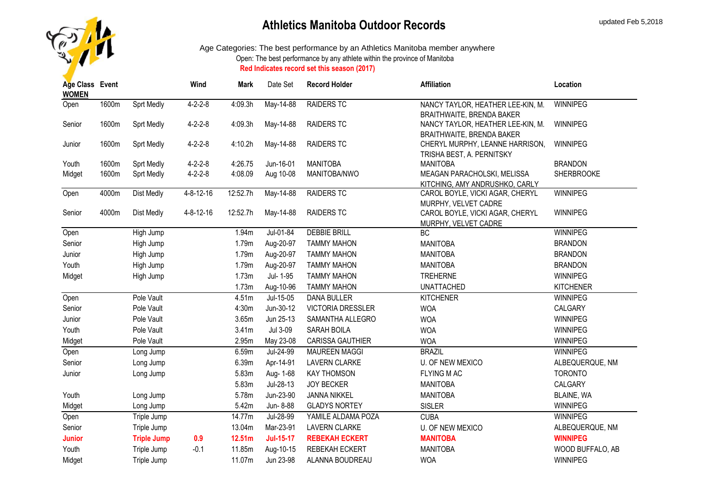

| Age Class Event<br><b>WOMEN</b> |       |                    | Wind              | Mark     | Date Set         | <b>Record Holder</b>     | <b>Affiliation</b>                                      | Location          |
|---------------------------------|-------|--------------------|-------------------|----------|------------------|--------------------------|---------------------------------------------------------|-------------------|
| Open                            | 1600m | <b>Sprt Medly</b>  | $4 - 2 - 2 - 8$   | 4:09.3h  | May-14-88        | <b>RAIDERS TC</b>        | NANCY TAYLOR, HEATHER LEE-KIN, M.                       | <b>WINNIPEG</b>   |
|                                 |       |                    |                   |          |                  |                          | BRAITHWAITE, BRENDA BAKER                               |                   |
| Senior                          | 1600m | <b>Sprt Medly</b>  | $4 - 2 - 2 - 8$   | 4:09.3h  | May-14-88        | <b>RAIDERS TC</b>        | NANCY TAYLOR, HEATHER LEE-KIN, M.                       | <b>WINNIPEG</b>   |
|                                 |       |                    |                   |          |                  |                          | <b>BRAITHWAITE, BRENDA BAKER</b>                        |                   |
| Junior                          | 1600m | Sprt Medly         | $4 - 2 - 2 - 8$   | 4:10.2h  | May-14-88        | <b>RAIDERS TC</b>        | CHERYL MURPHY, LEANNE HARRISON,                         | <b>WINNIPEG</b>   |
|                                 |       |                    |                   |          |                  |                          | TRISHA BEST, A. PERNITSKY                               |                   |
| Youth                           | 1600m | Sprt Medly         | $4 - 2 - 2 - 8$   | 4:26.75  | Jun-16-01        | <b>MANITOBA</b>          | <b>MANITOBA</b>                                         | <b>BRANDON</b>    |
| Midget                          | 1600m | Sprt Medly         | $4 - 2 - 2 - 8$   | 4:08.09  | Aug 10-08        | MANITOBA/NWO             | MEAGAN PARACHOLSKI, MELISSA                             | <b>SHERBROOKE</b> |
|                                 | 4000m |                    | $4 - 8 - 12 - 16$ | 12:52.7h |                  | <b>RAIDERS TC</b>        | KITCHING, AMY ANDRUSHKO, CARLY                          | <b>WINNIPEG</b>   |
| Open                            |       | Dist Medly         |                   |          | May-14-88        |                          | CAROL BOYLE, VICKI AGAR, CHERYL                         |                   |
| Senior                          | 4000m | Dist Medly         | 4-8-12-16         | 12:52.7h | May-14-88        | <b>RAIDERS TC</b>        | MURPHY, VELVET CADRE<br>CAROL BOYLE, VICKI AGAR, CHERYL | WINNIPEG          |
|                                 |       |                    |                   |          |                  |                          | MURPHY, VELVET CADRE                                    |                   |
| Open                            |       | High Jump          |                   | 1.94m    | Jul-01-84        | <b>DEBBIE BRILL</b>      | <b>BC</b>                                               | <b>WINNIPEG</b>   |
| Senior                          |       | High Jump          |                   | 1.79m    | Aug-20-97        | <b>TAMMY MAHON</b>       | <b>MANITOBA</b>                                         | <b>BRANDON</b>    |
| Junior                          |       | High Jump          |                   | 1.79m    | Aug-20-97        | <b>TAMMY MAHON</b>       | <b>MANITOBA</b>                                         | <b>BRANDON</b>    |
| Youth                           |       | High Jump          |                   | 1.79m    | Aug-20-97        | <b>TAMMY MAHON</b>       | <b>MANITOBA</b>                                         | <b>BRANDON</b>    |
| Midget                          |       | High Jump          |                   | 1.73m    | Jul- 1-95        | <b>TAMMY MAHON</b>       | <b>TREHERNE</b>                                         | WINNIPEG          |
|                                 |       |                    |                   | 1.73m    | Aug-10-96        | <b>TAMMY MAHON</b>       | <b>UNATTACHED</b>                                       | <b>KITCHENER</b>  |
| Open                            |       | Pole Vault         |                   | 4.51m    | Jul-15-05        | <b>DANA BULLER</b>       | <b>KITCHENER</b>                                        | <b>WINNIPEG</b>   |
| Senior                          |       | Pole Vault         |                   | 4:30m    | Jun-30-12        | <b>VICTORIA DRESSLER</b> | <b>WOA</b>                                              | CALGARY           |
| Junior                          |       | Pole Vault         |                   | 3.65m    | Jun 25-13        | SAMANTHA ALLEGRO         | <b>WOA</b>                                              | WINNIPEG          |
| Youth                           |       | Pole Vault         |                   | 3.41m    | Jul 3-09         | SARAH BOILA              | <b>WOA</b>                                              | WINNIPEG          |
| Midget                          |       | Pole Vault         |                   | 2.95m    | May 23-08        | CARISSA GAUTHIER         | <b>WOA</b>                                              | <b>WINNIPEG</b>   |
| Open                            |       | Long Jump          |                   | 6.59m    | Jul-24-99        | <b>MAUREEN MAGGI</b>     | <b>BRAZIL</b>                                           | <b>WINNIPEG</b>   |
| Senior                          |       | Long Jump          |                   | 6.39m    | Apr-14-91        | <b>LAVERN CLARKE</b>     | <b>U. OF NEW MEXICO</b>                                 | ALBEQUERQUE, NM   |
| Junior                          |       | Long Jump          |                   | 5.83m    | Aug- 1-68        | <b>KAY THOMSON</b>       | <b>FLYING MAC</b>                                       | <b>TORONTO</b>    |
|                                 |       |                    |                   | 5.83m    | Jul-28-13        | <b>JOY BECKER</b>        | <b>MANITOBA</b>                                         | CALGARY           |
| Youth                           |       | Long Jump          |                   | 5.78m    | Jun-23-90        | <b>JANNA NIKKEL</b>      | <b>MANITOBA</b>                                         | BLAINE, WA        |
| Midget                          |       | Long Jump          |                   | 5.42m    | Jun- 8-88        | <b>GLADYS NORTEY</b>     | <b>SISLER</b>                                           | WINNIPEG          |
| Open                            |       | Triple Jump        |                   | 14.77m   | Jul-28-99        | YAMILE ALDAMA POZA       | <b>CUBA</b>                                             | WINNIPEG          |
| Senior                          |       | Triple Jump        |                   | 13.04m   | Mar-23-91        | <b>LAVERN CLARKE</b>     | <b>U. OF NEW MEXICO</b>                                 | ALBEQUERQUE, NM   |
| <b>Junior</b>                   |       | <b>Triple Jump</b> | 0.9               | 12.51m   | <b>Jul-15-17</b> | <b>REBEKAH ECKERT</b>    | <b>MANITOBA</b>                                         | <b>WINNIPEG</b>   |
| Youth                           |       | Triple Jump        | $-0.1$            | 11.85m   | Aug-10-15        | REBEKAH ECKERT           | <b>MANITOBA</b>                                         | WOOD BUFFALO, AB  |
| Midget                          |       | Triple Jump        |                   | 11.07m   | Jun 23-98        | ALANNA BOUDREAU          | <b>WOA</b>                                              | WINNIPEG          |
|                                 |       |                    |                   |          |                  |                          |                                                         |                   |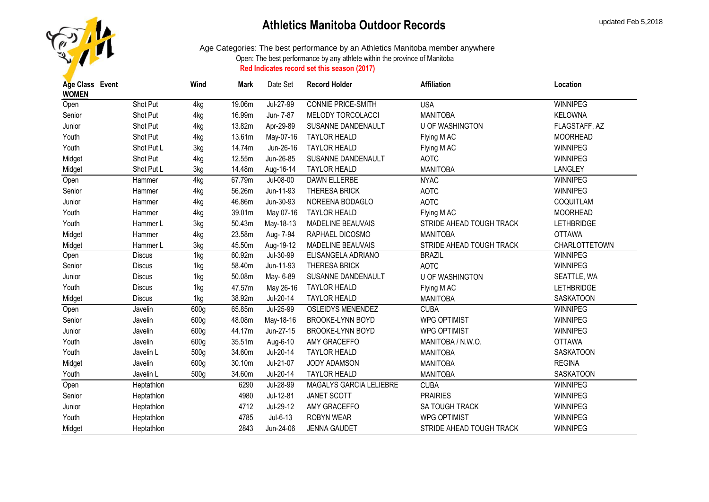

| Age Class Event |               | Wind | Mark   | Date Set  | <b>Record Holder</b>      | <b>Affiliation</b>       | Location          |
|-----------------|---------------|------|--------|-----------|---------------------------|--------------------------|-------------------|
| <b>WOMEN</b>    |               |      |        |           |                           |                          |                   |
| Open            | Shot Put      | 4kg  | 19.06m | Jul-27-99 | <b>CONNIE PRICE-SMITH</b> | <b>USA</b>               | <b>WINNIPEG</b>   |
| Senior          | Shot Put      | 4kg  | 16.99m | Jun- 7-87 | MELODY TORCOLACCI         | <b>MANITOBA</b>          | <b>KELOWNA</b>    |
| Junior          | Shot Put      | 4kg  | 13.82m | Apr-29-89 | SUSANNE DANDENAULT        | <b>U OF WASHINGTON</b>   | FLAGSTAFF, AZ     |
| Youth           | Shot Put      | 4kg  | 13.61m | May-07-16 | <b>TAYLOR HEALD</b>       | Flying M AC              | <b>MOORHEAD</b>   |
| Youth           | Shot Put L    | 3kg  | 14.74m | Jun-26-16 | <b>TAYLOR HEALD</b>       | Flying M AC              | WINNIPEG          |
| Midget          | Shot Put      | 4kg  | 12.55m | Jun-26-85 | SUSANNE DANDENAULT        | <b>AOTC</b>              | <b>WINNIPEG</b>   |
| Midget          | Shot Put L    | 3kg  | 14.48m | Aug-16-14 | <b>TAYLOR HEALD</b>       | <b>MANITOBA</b>          | <b>LANGLEY</b>    |
| Open            | Hammer        | 4kg  | 67.79m | Jul-08-00 | DAWN ELLERBE              | <b>NYAC</b>              | <b>WINNIPEG</b>   |
| Senior          | Hammer        | 4kg  | 56.26m | Jun-11-93 | <b>THERESA BRICK</b>      | <b>AOTC</b>              | WINNIPEG          |
| Junior          | Hammer        | 4kg  | 46.86m | Jun-30-93 | NOREENA BODAGLO           | <b>AOTC</b>              | COQUITLAM         |
| Youth           | Hammer        | 4kg  | 39.01m | May 07-16 | <b>TAYLOR HEALD</b>       | Flying M AC              | <b>MOORHEAD</b>   |
| Youth           | Hammer L      | 3kg  | 50.43m | May-18-13 | MADELINE BEAUVAIS         | STRIDE AHEAD TOUGH TRACK | <b>LETHBRIDGE</b> |
| Midget          | Hammer        | 4kg  | 23.58m | Aug- 7-94 | RAPHAEL DICOSMO           | <b>MANITOBA</b>          | <b>OTTAWA</b>     |
| Midget          | Hammer L      | 3kg  | 45.50m | Aug-19-12 | <b>MADELINE BEAUVAIS</b>  | STRIDE AHEAD TOUGH TRACK | CHARLOTTETOWN     |
| Open            | <b>Discus</b> | 1kg  | 60.92m | Jul-30-99 | ELISANGELA ADRIANO        | <b>BRAZIL</b>            | <b>WINNIPEG</b>   |
| Senior          | <b>Discus</b> | 1kg  | 58.40m | Jun-11-93 | <b>THERESA BRICK</b>      | <b>AOTC</b>              | WINNIPEG          |
| Junior          | <b>Discus</b> | 1kg  | 50.08m | May- 6-89 | SUSANNE DANDENAULT        | <b>U OF WASHINGTON</b>   | SEATTLE, WA       |
| Youth           | <b>Discus</b> | 1kg  | 47.57m | May 26-16 | <b>TAYLOR HEALD</b>       | Flying M AC              | <b>LETHBRIDGE</b> |
| Midget          | <b>Discus</b> | 1kg  | 38.92m | Jul-20-14 | <b>TAYLOR HEALD</b>       | <b>MANITOBA</b>          | <b>SASKATOON</b>  |
| Open            | Javelin       | 600g | 65.85m | Jul-25-99 | <b>OSLEIDYS MENENDEZ</b>  | <b>CUBA</b>              | WINNIPEG          |
| Senior          | Javelin       | 600g | 48.08m | May-18-16 | <b>BROOKE-LYNN BOYD</b>   | <b>WPG OPTIMIST</b>      | WINNIPEG          |
| Junior          | Javelin       | 600g | 44.17m | Jun-27-15 | BROOKE-LYNN BOYD          | <b>WPG OPTIMIST</b>      | WINNIPEG          |
| Youth           | Javelin       | 600g | 35.51m | Aug-6-10  | AMY GRACEFFO              | MANITOBA / N.W.O.        | <b>OTTAWA</b>     |
| Youth           | Javelin L     | 500g | 34.60m | Jul-20-14 | <b>TAYLOR HEALD</b>       | <b>MANITOBA</b>          | <b>SASKATOON</b>  |
| Midget          | Javelin       | 600g | 30.10m | Jul-21-07 | JODY ADAMSON              | <b>MANITOBA</b>          | <b>REGINA</b>     |
| Youth           | Javelin L     | 500g | 34.60m | Jul-20-14 | <b>TAYLOR HEALD</b>       | <b>MANITOBA</b>          | <b>SASKATOON</b>  |
| Open            | Heptathlon    |      | 6290   | Jul-28-99 | MAGALYS GARCIA LELIEBRE   | <b>CUBA</b>              | <b>WINNIPEG</b>   |
| Senior          | Heptathlon    |      | 4980   | Jul-12-81 | JANET SCOTT               | <b>PRAIRIES</b>          | WINNIPEG          |
| Junior          | Heptathlon    |      | 4712   | Jul-29-12 | AMY GRACEFFO              | SA TOUGH TRACK           | <b>WINNIPEG</b>   |
| Youth           | Heptathlon    |      | 4785   | Jul-6-13  | <b>ROBYN WEAR</b>         | <b>WPG OPTIMIST</b>      | WINNIPEG          |
| Midget          | Heptathlon    |      | 2843   | Jun-24-06 | <b>JENNA GAUDET</b>       | STRIDE AHEAD TOUGH TRACK | <b>WINNIPEG</b>   |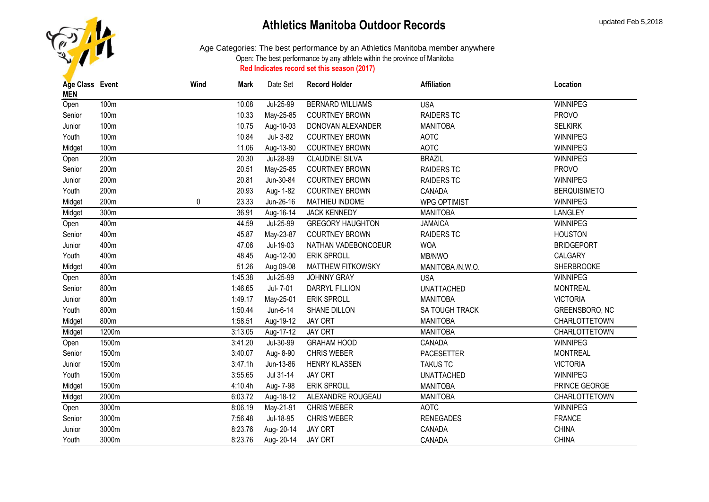

| Age Class Event<br><b>MEN</b> |       | Wind | Mark    | Date Set  | <b>Record Holder</b>     | <b>Affiliation</b>  | Location            |
|-------------------------------|-------|------|---------|-----------|--------------------------|---------------------|---------------------|
| Open                          | 100m  |      | 10.08   | Jul-25-99 | <b>BERNARD WILLIAMS</b>  | <b>USA</b>          | <b>WINNIPEG</b>     |
| Senior                        | 100m  |      | 10.33   | May-25-85 | <b>COURTNEY BROWN</b>    | <b>RAIDERS TC</b>   | <b>PROVO</b>        |
| Junior                        | 100m  |      | 10.75   | Aug-10-03 | DONOVAN ALEXANDER        | <b>MANITOBA</b>     | <b>SELKIRK</b>      |
| Youth                         | 100m  |      | 10.84   | Jul- 3-82 | <b>COURTNEY BROWN</b>    | <b>AOTC</b>         | WINNIPEG            |
| Midget                        | 100m  |      | 11.06   | Aug-13-80 | <b>COURTNEY BROWN</b>    | <b>AOTC</b>         | <b>WINNIPEG</b>     |
| Open                          | 200m  |      | 20.30   | Jul-28-99 | <b>CLAUDINEI SILVA</b>   | <b>BRAZIL</b>       | <b>WINNIPEG</b>     |
| Senior                        | 200m  |      | 20.51   | May-25-85 | <b>COURTNEY BROWN</b>    | <b>RAIDERS TC</b>   | <b>PROVO</b>        |
| Junior                        | 200m  |      | 20.81   | Jun-30-84 | <b>COURTNEY BROWN</b>    | <b>RAIDERS TC</b>   | <b>WINNIPEG</b>     |
| Youth                         | 200m  |      | 20.93   | Aug- 1-82 | <b>COURTNEY BROWN</b>    | CANADA              | <b>BERQUISIMETO</b> |
| Midget                        | 200m  | 0    | 23.33   | Jun-26-16 | MATHIEU INDOME           | <b>WPG OPTIMIST</b> | WINNIPEG            |
| Midget                        | 300m  |      | 36.91   | Aug-16-14 | <b>JACK KENNEDY</b>      | <b>MANITOBA</b>     | <b>LANGLEY</b>      |
| Open                          | 400m  |      | 44.59   | Jul-25-99 | <b>GREGORY HAUGHTON</b>  | <b>JAMAICA</b>      | WINNIPEG            |
| Senior                        | 400m  |      | 45.87   | May-23-87 | <b>COURTNEY BROWN</b>    | <b>RAIDERS TC</b>   | <b>HOUSTON</b>      |
| Junior                        | 400m  |      | 47.06   | Jul-19-03 | NATHAN VADEBONCOEUR      | <b>WOA</b>          | <b>BRIDGEPORT</b>   |
| Youth                         | 400m  |      | 48.45   | Aug-12-00 | <b>ERIK SPROLL</b>       | MB/NWO              | CALGARY             |
| Midget                        | 400m  |      | 51.26   | Aug 09-08 | <b>MATTHEW FITKOWSKY</b> | MANITOBA /N.W.O.    | <b>SHERBROOKE</b>   |
| Open                          | 800m  |      | 1:45.38 | Jul-25-99 | JOHNNY GRAY              | <b>USA</b>          | WINNIPEG            |
| Senior                        | 800m  |      | 1:46.65 | Jul- 7-01 | DARRYL FILLION           | <b>UNATTACHED</b>   | <b>MONTREAL</b>     |
| Junior                        | 800m  |      | 1:49.17 | May-25-01 | <b>ERIK SPROLL</b>       | <b>MANITOBA</b>     | <b>VICTORIA</b>     |
| Youth                         | 800m  |      | 1:50.44 | Jun-6-14  | SHANE DILLON             | SA TOUGH TRACK      | GREENSBORO, NC      |
| Midget                        | 800m  |      | 1:58.51 | Aug-19-12 | <b>JAY ORT</b>           | <b>MANITOBA</b>     | CHARLOTTETOWN       |
| Midget                        | 1200m |      | 3:13.05 | Aug-17-12 | JAY ORT                  | <b>MANITOBA</b>     | CHARLOTTETOWN       |
| Open                          | 1500m |      | 3:41.20 | Jul-30-99 | <b>GRAHAM HOOD</b>       | CANADA              | <b>WINNIPEG</b>     |
| Senior                        | 1500m |      | 3:40.07 | Aug- 8-90 | <b>CHRIS WEBER</b>       | <b>PACESETTER</b>   | <b>MONTREAL</b>     |
| Junior                        | 1500m |      | 3:47.1h | Jun-13-86 | HENRY KLASSEN            | <b>TAKUS TC</b>     | <b>VICTORIA</b>     |
| Youth                         | 1500m |      | 3:55.65 | Jul 31-14 | JAY ORT                  | <b>UNATTACHED</b>   | WINNIPEG            |
| Midget                        | 1500m |      | 4:10.4h | Aug- 7-98 | <b>ERIK SPROLL</b>       | <b>MANITOBA</b>     | PRINCE GEORGE       |
| Midget                        | 2000m |      | 6:03.72 | Aug-18-12 | ALEXANDRE ROUGEAU        | <b>MANITOBA</b>     | CHARLOTTETOWN       |
| Open                          | 3000m |      | 8:06.19 | May-21-91 | <b>CHRIS WEBER</b>       | AOTC                | <b>WINNIPEG</b>     |
| Senior                        | 3000m |      | 7:56.48 | Jul-18-95 | <b>CHRIS WEBER</b>       | <b>RENEGADES</b>    | <b>FRANCE</b>       |
| Junior                        | 3000m |      | 8:23.76 | Aug-20-14 | <b>JAY ORT</b>           | CANADA              | <b>CHINA</b>        |
| Youth                         | 3000m |      | 8:23.76 | Aug-20-14 | <b>JAY ORT</b>           | CANADA              | <b>CHINA</b>        |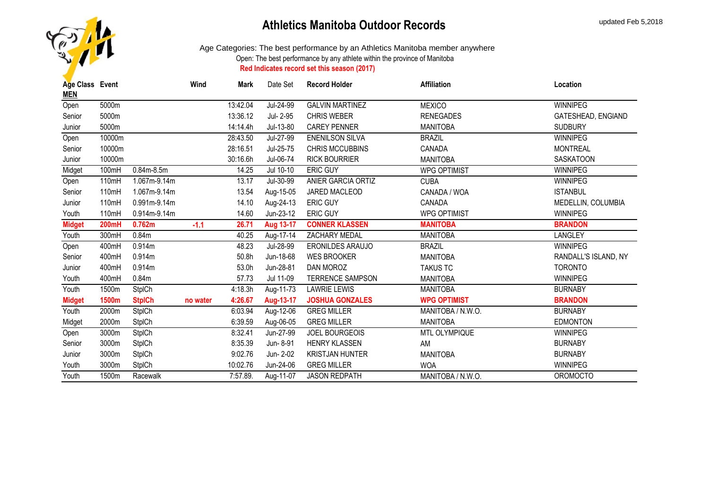

| Age Class Event |              |                   | Wind     | <b>Mark</b> | Date Set  | <b>Record Holder</b>    | <b>Affiliation</b>  | Location             |
|-----------------|--------------|-------------------|----------|-------------|-----------|-------------------------|---------------------|----------------------|
| <b>MEN</b>      |              |                   |          |             |           |                         |                     |                      |
| Open            | 5000m        |                   |          | 13:42.04    | Jul-24-99 | <b>GALVIN MARTINEZ</b>  | <b>MEXICO</b>       | <b>WINNIPEG</b>      |
| Senior          | 5000m        |                   |          | 13:36.12    | Jul- 2-95 | <b>CHRIS WEBER</b>      | <b>RENEGADES</b>    | GATESHEAD, ENGIAND   |
| Junior          | 5000m        |                   |          | 14:14.4h    | Jul-13-80 | <b>CAREY PENNER</b>     | <b>MANITOBA</b>     | <b>SUDBURY</b>       |
| Open            | 10000m       |                   |          | 28:43.50    | Jul-27-99 | <b>ENENILSON SILVA</b>  | <b>BRAZIL</b>       | <b>WINNIPEG</b>      |
| Senior          | 10000m       |                   |          | 28:16.51    | Jul-25-75 | <b>CHRIS MCCUBBINS</b>  | CANADA              | <b>MONTREAL</b>      |
| Junior          | 10000m       |                   |          | 30:16.6h    | Jul-06-74 | <b>RICK BOURRIER</b>    | <b>MANITOBA</b>     | <b>SASKATOON</b>     |
| Midget          | 100mH        | $0.84m-8.5m$      |          | 14.25       | Jul 10-10 | <b>ERIC GUY</b>         | <b>WPG OPTIMIST</b> | <b>WINNIPEG</b>      |
| Open            | 110mH        | 1.067m-9.14m      |          | 13.17       | Jul-30-99 | ANIER GARCIA ORTIZ      | <b>CUBA</b>         | <b>WINNIPEG</b>      |
| Senior          | 110mH        | 1.067m-9.14m      |          | 13.54       | Aug-15-05 | JARED MACLEOD           | CANADA / WOA        | <b>ISTANBUL</b>      |
| Junior          | 110mH        | 0.991m-9.14m      |          | 14.10       | Aug-24-13 | ERIC GUY                | CANADA              | MEDELLIN, COLUMBIA   |
| Youth           | 110mH        | 0.914m-9.14m      |          | 14.60       | Jun-23-12 | <b>ERIC GUY</b>         | <b>WPG OPTIMIST</b> | WINNIPEG             |
| <b>Midget</b>   | <b>200mH</b> | 0.762m            | $-1.1$   | 26.71       | Aug 13-17 | <b>CONNER KLASSEN</b>   | <b>MANITOBA</b>     | <b>BRANDON</b>       |
| Youth           | 300mH        | 0.84 <sub>m</sub> |          | 40.25       | Aug-17-14 | ZACHARY MEDAL           | <b>MANITOBA</b>     | <b>LANGLEY</b>       |
| Open            | 400mH        | 0.914m            |          | 48.23       | Jul-28-99 | <b>ERONILDES ARAUJO</b> | <b>BRAZIL</b>       | <b>WINNIPEG</b>      |
| Senior          | 400mH        | 0.914m            |          | 50.8h       | Jun-18-68 | <b>WES BROOKER</b>      | <b>MANITOBA</b>     | RANDALL'S ISLAND, NY |
| Junior          | 400mH        | 0.914m            |          | 53.0h       | Jun-28-81 | DAN MOROZ               | <b>TAKUS TC</b>     | <b>TORONTO</b>       |
| Youth           | 400mH        | 0.84m             |          | 57.73       | Jul 11-09 | <b>TERRENCE SAMPSON</b> | <b>MANITOBA</b>     | <b>WINNIPEG</b>      |
| Youth           | 1500m        | <b>StpICh</b>     |          | 4:18.3h     | Aug-11-73 | <b>LAWRIE LEWIS</b>     | <b>MANITOBA</b>     | <b>BURNABY</b>       |
| <b>Midget</b>   | 1500m        | <b>StpICh</b>     | no water | 4:26.67     | Aug-13-17 | <b>JOSHUA GONZALES</b>  | <b>WPG OPTIMIST</b> | <b>BRANDON</b>       |
| Youth           | 2000m        | <b>StpICh</b>     |          | 6:03.94     | Aug-12-06 | <b>GREG MILLER</b>      | MANITOBA / N.W.O.   | <b>BURNABY</b>       |
| Midget          | 2000m        | <b>StpICh</b>     |          | 6:39.59     | Aug-06-05 | <b>GREG MILLER</b>      | <b>MANITOBA</b>     | <b>EDMONTON</b>      |
| Open            | 3000m        | <b>StpICh</b>     |          | 8:32.41     | Jun-27-99 | <b>JOEL BOURGEOIS</b>   | MTL OLYMPIQUE       | <b>WINNIPEG</b>      |
| Senior          | 3000m        | <b>StpICh</b>     |          | 8:35.39     | Jun-8-91  | <b>HENRY KLASSEN</b>    | AM                  | <b>BURNABY</b>       |
| Junior          | 3000m        | <b>StpICh</b>     |          | 9:02.76     | Jun- 2-02 | <b>KRISTJAN HUNTER</b>  | <b>MANITOBA</b>     | <b>BURNABY</b>       |
| Youth           | 3000m        | <b>StpICh</b>     |          | 10:02.76    | Jun-24-06 | <b>GREG MILLER</b>      | <b>WOA</b>          | <b>WINNIPEG</b>      |
| Youth           | 1500m        | Racewalk          |          | 7:57.89.    | Aug-11-07 | <b>JASON REDPATH</b>    | MANITOBA / N.W.O.   | <b>OROMOCTO</b>      |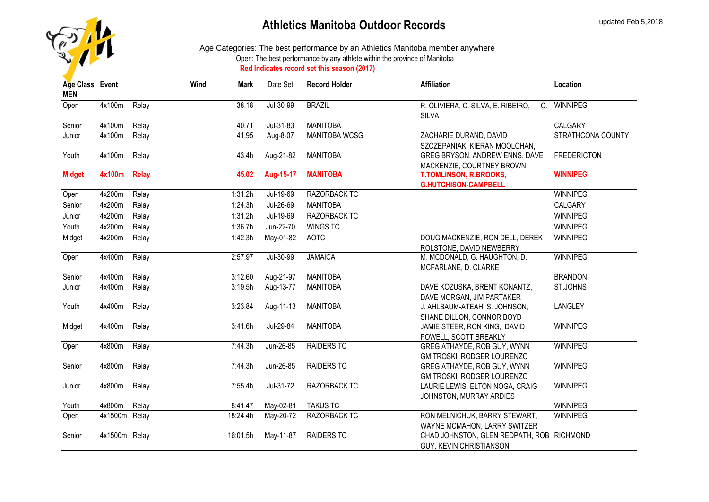

| Age Class Event<br><b>MEN</b> |               |              | Wind | Mark     | Date Set  | <b>Record Holder</b> | <b>Affiliation</b>                                                   | Location           |
|-------------------------------|---------------|--------------|------|----------|-----------|----------------------|----------------------------------------------------------------------|--------------------|
| Open                          | 4x100m        | Relay        |      | 38.18    | Jul-30-99 | <b>BRAZIL</b>        | R. OLIVIERA, C. SILVA, E. RIBEIRO,<br>$C_{1}$<br><b>SILVA</b>        | <b>WINNIPEG</b>    |
| Senior                        | 4x100m        | Relay        |      | 40.71    | Jul-31-83 | <b>MANITOBA</b>      |                                                                      | CALGARY            |
| Junior                        | 4x100m        | Relay        |      | 41.95    | Aug-8-07  | <b>MANITOBA WCSG</b> | ZACHARIE DURAND, DAVID<br>SZCZEPANIAK, KIERAN MOOLCHAN,              | STRATHCONA COUNTY  |
| Youth                         | 4x100m        | Relay        |      | 43.4h    | Aug-21-82 | <b>MANITOBA</b>      | GREG BRYSON, ANDREW ENNS, DAVE<br>MACKENZIE, COURTNEY BROWN          | <b>FREDERICTON</b> |
| <b>Midget</b>                 | 4x100m        | <b>Relay</b> |      | 45.02    | Aug-15-17 | <b>MANITOBA</b>      | T.TOMLINSON, R.BROOKS,<br><b>G.HUTCHISON-CAMPBELL</b>                | <b>WINNIPEG</b>    |
| Open                          | 4x200m        | Relay        |      | 1:31.2h  | Jul-19-69 | <b>RAZORBACK TC</b>  |                                                                      | <b>WINNIPEG</b>    |
| Senior                        | 4x200m        | Relay        |      | 1:24.3h  | Jul-26-69 | <b>MANITOBA</b>      |                                                                      | CALGARY            |
| Junior                        | 4x200m        | Relay        |      | 1:31.2h  | Jul-19-69 | RAZORBACK TC         |                                                                      | <b>WINNIPEG</b>    |
| Youth                         | 4x200m        | Relay        |      | 1:36.7h  | Jun-22-70 | <b>WINGS TC</b>      |                                                                      | WINNIPEG           |
| Midget                        | 4x200m        | Relay        |      | 1:42.3h  | May-01-82 | <b>AOTC</b>          | DOUG MACKENZIE, RON DELL, DEREK<br>ROLSTONE, DAVID NEWBERRY          | <b>WINNIPEG</b>    |
| Open                          | 4x400m        | Relay        |      | 2:57.97  | Jul-30-99 | <b>JAMAICA</b>       | M. MCDONALD, G. HAUGHTON, D.<br>MCFARLANE, D. CLARKE                 | <b>WINNIPEG</b>    |
| Senior                        | 4x400m        | Relay        |      | 3:12.60  | Aug-21-97 | <b>MANITOBA</b>      |                                                                      | <b>BRANDON</b>     |
| Junior                        | 4x400m        | Relay        |      | 3:19.5h  | Aug-13-77 | <b>MANITOBA</b>      | DAVE KOZUSKA, BRENT KONANTZ,<br>DAVE MORGAN, JIM PARTAKER            | ST.JOHNS           |
| Youth                         | 4x400m        | Relay        |      | 3:23.84  | Aug-11-13 | <b>MANITOBA</b>      | J. AHLBAUM-ATEAH, S. JOHNSON,<br>SHANE DILLON, CONNOR BOYD           | LANGLEY            |
| Midget                        | 4x400m        | Relay        |      | 3:41.6h  | Jul-29-84 | <b>MANITOBA</b>      | JAMIE STEER, RON KING, DAVID<br>POWELL, SCOTT BREAKLY                | WINNIPEG           |
| Open                          | 4x800m        | Relay        |      | 7:44.3h  | Jun-26-85 | RAIDERS TC           | GREG ATHAYDE, ROB GUY, WYNN<br>GMITROSKI, RODGER LOURENZO            | WINNIPEG           |
| Senior                        | 4x800m        | Relay        |      | 7:44.3h  | Jun-26-85 | <b>RAIDERS TC</b>    | GREG ATHAYDE, ROB GUY, WYNN<br>GMITROSKI, RODGER LOURENZO            | WINNIPEG           |
| Junior                        | 4x800m        | Relay        |      | 7:55.4h  | Jul-31-72 | RAZORBACK TC         | LAURIE LEWIS, ELTON NOGA, CRAIG<br>JOHNSTON, MURRAY ARDIES           | WINNIPEG           |
| Youth                         | 4x800m        | Relay        |      | 8:41.47  | May-02-81 | <b>TAKUS TC</b>      |                                                                      | <b>WINNIPEG</b>    |
| Open                          | 4x1500m Relay |              |      | 18:24.4h | May-20-72 | RAZORBACK TC         | RON MELNICHUK, BARRY STEWART,<br>WAYNE MCMAHON, LARRY SWITZER        | <b>WINNIPEG</b>    |
| Senior                        | 4x1500m Relay |              |      | 16:01.5h | May-11-87 | <b>RAIDERS TC</b>    | CHAD JOHNSTON, GLEN REDPATH, ROB RICHMOND<br>GUY, KEVIN CHRISTIANSON |                    |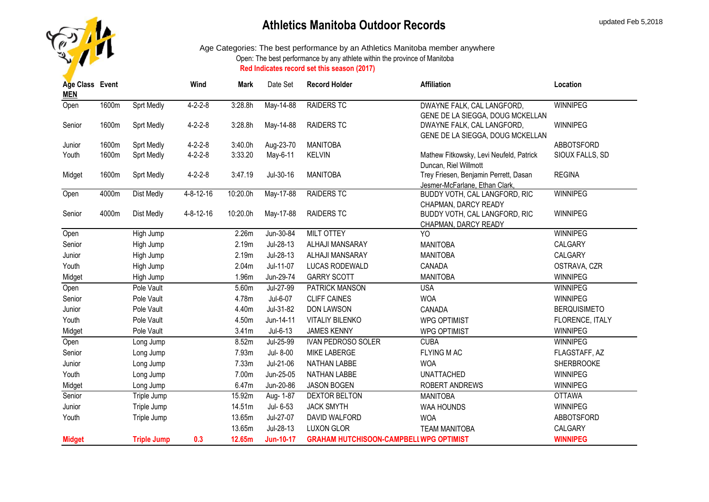

| Age Class Event<br><b>MEN</b> |       |                    | Wind              | Mark     | Date Set         | <b>Record Holder</b>                           | <b>Affiliation</b>                                              | Location            |
|-------------------------------|-------|--------------------|-------------------|----------|------------------|------------------------------------------------|-----------------------------------------------------------------|---------------------|
| Open                          | 1600m | <b>Sprt Medly</b>  | $4 - 2 - 2 - 8$   | 3:28.8h  | May-14-88        | <b>RAIDERS TC</b>                              | DWAYNE FALK, CAL LANGFORD,                                      | <b>WINNIPEG</b>     |
|                               |       |                    |                   |          |                  |                                                | GENE DE LA SIEGGA, DOUG MCKELLAN                                |                     |
| Senior                        | 1600m | <b>Sprt Medly</b>  | $4 - 2 - 2 - 8$   | 3:28.8h  | May-14-88        | <b>RAIDERS TC</b>                              | DWAYNE FALK, CAL LANGFORD,                                      | <b>WINNIPEG</b>     |
|                               |       |                    |                   |          |                  |                                                | GENE DE LA SIEGGA, DOUG MCKELLAN                                |                     |
| Junior                        | 1600m | Sprt Medly         | $4 - 2 - 2 - 8$   | 3:40.0h  | Aug-23-70        | <b>MANITOBA</b>                                |                                                                 | ABBOTSFORD          |
| Youth                         | 1600m | <b>Sprt Medly</b>  | $4 - 2 - 2 - 8$   | 3:33.20  | May-6-11         | <b>KELVIN</b>                                  | Mathew Fitkowsky, Levi Neufeld, Patrick                         | SIOUX FALLS, SD     |
|                               |       |                    |                   |          |                  |                                                | Duncan, Riel Willmott                                           |                     |
| Midget                        | 1600m | <b>Sprt Medly</b>  | $4 - 2 - 2 - 8$   | 3:47.19  | Jul-30-16        | <b>MANITOBA</b>                                | Trey Friesen, Benjamin Perrett, Dasan                           | <b>REGINA</b>       |
| Open                          | 4000m | <b>Dist Medly</b>  | $4 - 8 - 12 - 16$ | 10:20.0h | May-17-88        | <b>RAIDERS TC</b>                              | Jesmer-McFarlane, Ethan Clark,<br>BUDDY VOTH, CAL LANGFORD, RIC | <b>WINNIPEG</b>     |
|                               |       |                    |                   |          |                  |                                                | CHAPMAN, DARCY READY                                            |                     |
| Senior                        | 4000m | Dist Medly         | $4 - 8 - 12 - 16$ | 10:20.0h | May-17-88        | <b>RAIDERS TC</b>                              | BUDDY VOTH, CAL LANGFORD, RIC                                   | WINNIPEG            |
|                               |       |                    |                   |          |                  |                                                | CHAPMAN, DARCY READY                                            |                     |
| Open                          |       | High Jump          |                   | 2.26m    | Jun-30-84        | MILT OTTEY                                     | YO                                                              | <b>WINNIPEG</b>     |
| Senior                        |       | High Jump          |                   | 2.19m    | Jul-28-13        | ALHAJI MANSARAY                                | <b>MANITOBA</b>                                                 | CALGARY             |
| Junior                        |       | High Jump          |                   | 2.19m    | Jul-28-13        | ALHAJI MANSARAY                                | <b>MANITOBA</b>                                                 | CALGARY             |
| Youth                         |       | High Jump          |                   | 2.04m    | Jul-11-07        | LUCAS RODEWALD                                 | CANADA                                                          | OSTRAVA, CZR        |
| Midget                        |       | High Jump          |                   | 1.96m    | Jun-29-74        | <b>GARRY SCOTT</b>                             | <b>MANITOBA</b>                                                 | WINNIPEG            |
| Open                          |       | Pole Vault         |                   | 5.60m    | Jul-27-99        | PATRICK MANSON                                 | <b>USA</b>                                                      | WINNIPEG            |
| Senior                        |       | Pole Vault         |                   | 4.78m    | Jul-6-07         | <b>CLIFF CAINES</b>                            | <b>WOA</b>                                                      | <b>WINNIPEG</b>     |
| Junior                        |       | Pole Vault         |                   | 4.40m    | Jul-31-82        | <b>DON LAWSON</b>                              | CANADA                                                          | <b>BERQUISIMETO</b> |
| Youth                         |       | Pole Vault         |                   | 4.50m    | Jun-14-11        | <b>VITALIY BILENKO</b>                         | <b>WPG OPTIMIST</b>                                             | FLORENCE, ITALY     |
| Midget                        |       | Pole Vault         |                   | 3.41m    | Jul-6-13         | <b>JAMES KENNY</b>                             | <b>WPG OPTIMIST</b>                                             | WINNIPEG            |
| Open                          |       | Long Jump          |                   | 8.52m    | Jul-25-99        | IVAN PEDROSO SOLER                             | <b>CUBA</b>                                                     | WINNIPEG            |
| Senior                        |       | Long Jump          |                   | 7.93m    | Jul- 8-00        | <b>MIKE LABERGE</b>                            | <b>FLYING MAC</b>                                               | FLAGSTAFF, AZ       |
| Junior                        |       | Long Jump          |                   | 7.33m    | Jul-21-06        | <b>NATHAN LABBE</b>                            | <b>WOA</b>                                                      | <b>SHERBROOKE</b>   |
| Youth                         |       | Long Jump          |                   | 7.00m    | Jun-25-05        | <b>NATHAN LABBE</b>                            | <b>UNATTACHED</b>                                               | WINNIPEG            |
| Midget                        |       | Long Jump          |                   | 6.47m    | Jun-20-86        | <b>JASON BOGEN</b>                             | ROBERT ANDREWS                                                  | WINNIPEG            |
| Senior                        |       | Triple Jump        |                   | 15.92m   | Aug- 1-87        | DEXTOR BELTON                                  | <b>MANITOBA</b>                                                 | <b>OTTAWA</b>       |
| Junior                        |       | Triple Jump        |                   | 14.51m   | Jul- 6-53        | <b>JACK SMYTH</b>                              | WAA HOUNDS                                                      | WINNIPEG            |
| Youth                         |       | Triple Jump        |                   | 13.65m   | Jul-27-07        | DAVID WALFORD                                  | <b>WOA</b>                                                      | ABBOTSFORD          |
|                               |       |                    |                   | 13.65m   | Jul-28-13        | <b>LUXON GLOR</b>                              | <b>TEAM MANITOBA</b>                                            | CALGARY             |
| <b>Midget</b>                 |       | <b>Triple Jump</b> | 0.3               | 12.65m   | <b>Jun-10-17</b> | <b>GRAHAM HUTCHISOON-CAMPBELI WPG OPTIMIST</b> |                                                                 | <b>WINNIPEG</b>     |